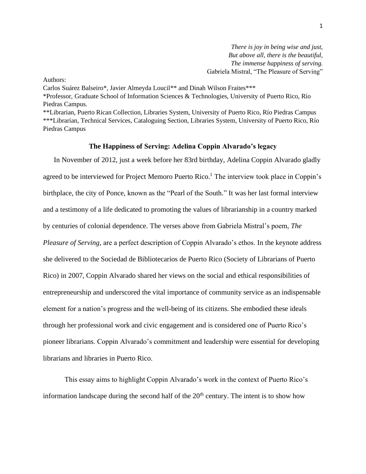*There is joy in being wise and just, But above all, there is the beautiful, The immense happiness of serving.* Gabriela Mistral, "The Pleasure of Serving"

Authors:

Carlos Suárez Balseiro\*, Javier Almeyda Loucil\*\* and Dinah Wilson Fraites\*\*\* \*Professor, Graduate School of Information Sciences & Technologies, University of Puerto Rico, Río Piedras Campus. \*\*Librarian, Puerto Rican Collection, Libraries System, University of Puerto Rico, Río Piedras Campus \*\*\*Librarian, Technical Services, Cataloguing Section, Libraries System, University of Puerto Rico, Río Piedras Campus

## **The Happiness of Serving: Adelina Coppin Alvarado's legacy**

In November of 2012, just a week before her 83rd birthday, Adelina Coppin Alvarado gladly agreed to be interviewed for Project Memoro Puerto Rico.<sup>1</sup> The interview took place in Coppin's birthplace, the city of Ponce, known as the "Pearl of the South." It was her last formal interview and a testimony of a life dedicated to promoting the values of librarianship in a country marked by centuries of colonial dependence. The verses above from Gabriela Mistral's poem, *The Pleasure of Serving*, are a perfect description of Coppin Alvarado's ethos. In the keynote address she delivered to the Sociedad de Bibliotecarios de Puerto Rico (Society of Librarians of Puerto Rico) in 2007, Coppin Alvarado shared her views on the social and ethical responsibilities of entrepreneurship and underscored the vital importance of community service as an indispensable element for a nation's progress and the well-being of its citizens. She embodied these ideals through her professional work and civic engagement and is considered one of Puerto Rico's pioneer librarians. Coppin Alvarado's commitment and leadership were essential for developing librarians and libraries in Puerto Rico.

This essay aims to highlight Coppin Alvarado's work in the context of Puerto Rico's information landscape during the second half of the  $20<sup>th</sup>$  century. The intent is to show how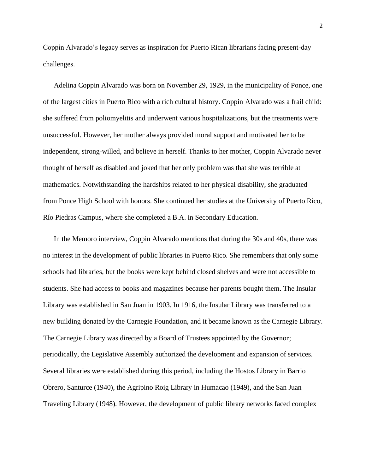Coppin Alvarado's legacy serves as inspiration for Puerto Rican librarians facing present-day challenges.

Adelina Coppin Alvarado was born on November 29, 1929, in the municipality of Ponce, one of the largest cities in Puerto Rico with a rich cultural history. Coppin Alvarado was a frail child: she suffered from poliomyelitis and underwent various hospitalizations, but the treatments were unsuccessful. However, her mother always provided moral support and motivated her to be independent, strong-willed, and believe in herself. Thanks to her mother, Coppin Alvarado never thought of herself as disabled and joked that her only problem was that she was terrible at mathematics. Notwithstanding the hardships related to her physical disability, she graduated from Ponce High School with honors. She continued her studies at the University of Puerto Rico, Río Piedras Campus, where she completed a B.A. in Secondary Education.

In the Memoro interview, Coppin Alvarado mentions that during the 30s and 40s, there was no interest in the development of public libraries in Puerto Rico. She remembers that only some schools had libraries, but the books were kept behind closed shelves and were not accessible to students. She had access to books and magazines because her parents bought them. The Insular Library was established in San Juan in 1903. In 1916, the Insular Library was transferred to a new building donated by the Carnegie Foundation, and it became known as the Carnegie Library. The Carnegie Library was directed by a Board of Trustees appointed by the Governor; periodically, the Legislative Assembly authorized the development and expansion of services. Several libraries were established during this period, including the Hostos Library in Barrio Obrero, Santurce (1940), the Agripino Roig Library in Humacao (1949), and the San Juan Traveling Library (1948). However, the development of public library networks faced complex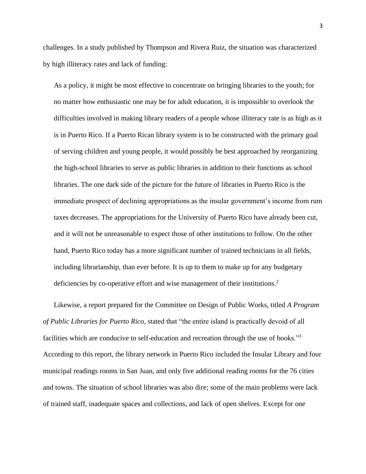challenges. In a study published by Thompson and Rivera Ruiz, the situation was characterized by high illiteracy rates and lack of funding:

As a policy, it might be most effective to concentrate on bringing libraries to the youth; for no matter how enthusiastic one may be for adult education, it is impossible to overlook the difficulties involved in making library readers of a people whose illiteracy rate is as high as it is in Puerto Rico. If a Puerto Rican library system is to be constructed with the primary goal of serving children and young people, it would possibly be best approached by reorganizing the high-school libraries to serve as public libraries in addition to their functions as school libraries. The one dark side of the picture for the future of libraries in Puerto Rico is the immediate prospect of declining appropriations as the insular government's income from rum taxes decreases. The appropriations for the University of Puerto Rico have already been cut, and it will not be unreasonable to expect those of other institutions to follow. On the other hand, Puerto Rico today has a more significant number of trained technicians in all fields, including librarianship, than ever before. It is up to them to make up for any budgetary deficiencies by co-operative effort and wise management of their institutions.<sup>2</sup>

Likewise, a report prepared for the Committee on Design of Public Works, titled *A Program of Public Libraries for Puerto Rico,* stated that "the entire island is practically devoid of all facilities which are conducive to self-education and recreation through the use of books."<sup>3</sup> According to this report, the library network in Puerto Rico included the Insular Library and four municipal readings rooms in San Juan, and only five additional reading rooms for the 76 cities and towns. The situation of school libraries was also dire; some of the main problems were lack of trained staff, inadequate spaces and collections, and lack of open shelves. Except for one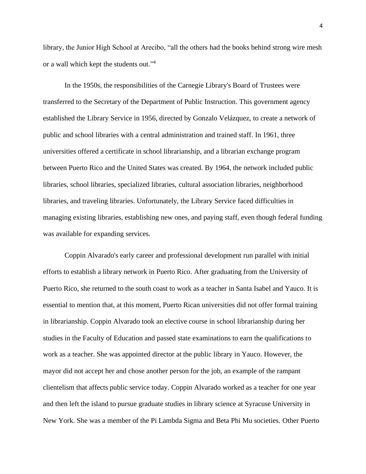library, the Junior High School at Arecibo, "all the others had the books behind strong wire mesh or a wall which kept the students out."<sup>4</sup>

In the 1950s, the responsibilities of the Carnegie Library's Board of Trustees were transferred to the Secretary of the Department of Public Instruction. This government agency established the Library Service in 1956, directed by Gonzalo Velázquez, to create a network of public and school libraries with a central administration and trained staff. In 1961, three universities offered a certificate in school librarianship, and a librarian exchange program between Puerto Rico and the United States was created. By 1964, the network included public libraries, school libraries, specialized libraries, cultural association libraries, neighborhood libraries, and traveling libraries. Unfortunately, the Library Service faced difficulties in managing existing libraries, establishing new ones, and paying staff, even though federal funding was available for expanding services.

Coppin Alvarado's early career and professional development run parallel with initial efforts to establish a library network in Puerto Rico. After graduating from the University of Puerto Rico, she returned to the south coast to work as a teacher in Santa Isabel and Yauco. It is essential to mention that, at this moment, Puerto Rican universities did not offer formal training in librarianship. Coppin Alvarado took an elective course in school librarianship during her studies in the Faculty of Education and passed state examinations to earn the qualifications to work as a teacher. She was appointed director at the public library in Yauco. However, the mayor did not accept her and chose another person for the job, an example of the rampant clientelism that affects public service today. Coppin Alvarado worked as a teacher for one year and then left the island to pursue graduate studies in library science at Syracuse University in New York. She was a member of the Pi Lambda Sigma and Beta Phi Mu societies. Other Puerto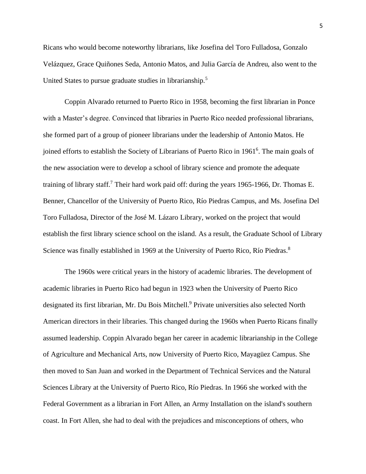Ricans who would become noteworthy librarians, like Josefina del Toro Fulladosa, Gonzalo Velázquez, Grace Quiñones Seda, Antonio Matos, and Julia García de Andreu, also went to the United States to pursue graduate studies in librarianship.<sup>5</sup>

Coppin Alvarado returned to Puerto Rico in 1958, becoming the first librarian in Ponce with a Master's degree. Convinced that libraries in Puerto Rico needed professional librarians, she formed part of a group of pioneer librarians under the leadership of Antonio Matos. He joined efforts to establish the Society of Librarians of Puerto Rico in 1961<sup>6</sup>. The main goals of the new association were to develop a school of library science and promote the adequate training of library staff.<sup>7</sup> Their hard work paid off: during the years 1965-1966, Dr. Thomas E. Benner, Chancellor of the University of Puerto Rico, Río Piedras Campus, and Ms. Josefina Del Toro Fulladosa, Director of the José M. Lázaro Library, worked on the project that would establish the first library science school on the island. As a result, the Graduate School of Library Science was finally established in 1969 at the University of Puerto Rico, Río Piedras.<sup>8</sup>

The 1960s were critical years in the history of academic libraries. The development of academic libraries in Puerto Rico had begun in 1923 when the University of Puerto Rico designated its first librarian, Mr. Du Bois Mitchell. <sup>9</sup> Private universities also selected North American directors in their libraries. This changed during the 1960s when Puerto Ricans finally assumed leadership. Coppin Alvarado began her career in academic librarianship in the College of Agriculture and Mechanical Arts, now University of Puerto Rico, Mayagüez Campus. She then moved to San Juan and worked in the Department of Technical Services and the Natural Sciences Library at the University of Puerto Rico, Río Piedras. In 1966 she worked with the Federal Government as a librarian in Fort Allen, an Army Installation on the island's southern coast. In Fort Allen, she had to deal with the prejudices and misconceptions of others, who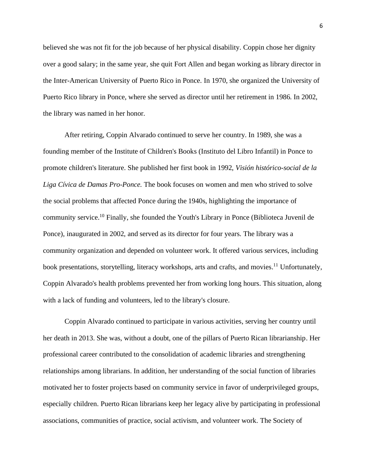believed she was not fit for the job because of her physical disability. Coppin chose her dignity over a good salary; in the same year, she quit Fort Allen and began working as library director in the Inter-American University of Puerto Rico in Ponce. In 1970, she organized the University of Puerto Rico library in Ponce, where she served as director until her retirement in 1986. In 2002, the library was named in her honor.

After retiring, Coppin Alvarado continued to serve her country. In 1989, she was a founding member of the Institute of Children's Books (Instituto del Libro Infantil) in Ponce to promote children's literature. She published her first book in 1992, *Visión histórico-social de la Liga Cívica de Damas Pro-Ponce.* The book focuses on women and men who strived to solve the social problems that affected Ponce during the 1940s, highlighting the importance of community service. <sup>10</sup> Finally, she founded the Youth's Library in Ponce (Biblioteca Juvenil de Ponce), inaugurated in 2002, and served as its director for four years. The library was a community organization and depended on volunteer work. It offered various services, including book presentations, storytelling, literacy workshops, arts and crafts, and movies.<sup>11</sup> Unfortunately, Coppin Alvarado's health problems prevented her from working long hours. This situation, along with a lack of funding and volunteers, led to the library's closure.

Coppin Alvarado continued to participate in various activities, serving her country until her death in 2013. She was, without a doubt, one of the pillars of Puerto Rican librarianship. Her professional career contributed to the consolidation of academic libraries and strengthening relationships among librarians. In addition, her understanding of the social function of libraries motivated her to foster projects based on community service in favor of underprivileged groups, especially children. Puerto Rican librarians keep her legacy alive by participating in professional associations, communities of practice, social activism, and volunteer work. The Society of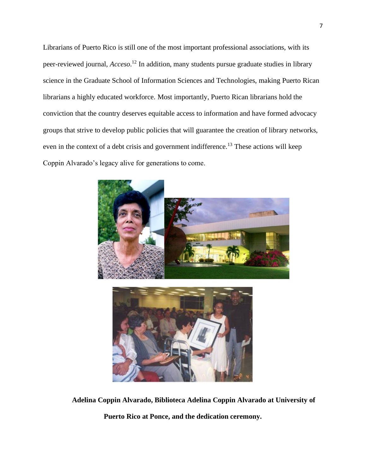Librarians of Puerto Rico is still one of the most important professional associations, with its peer-reviewed journal, *Acceso*. <sup>12</sup> In addition, many students pursue graduate studies in library science in the Graduate School of Information Sciences and Technologies, making Puerto Rican librarians a highly educated workforce. Most importantly, Puerto Rican librarians hold the conviction that the country deserves equitable access to information and have formed advocacy groups that strive to develop public policies that will guarantee the creation of library networks, even in the context of a debt crisis and government indifference.<sup>13</sup> These actions will keep Coppin Alvarado's legacy alive for generations to come.





**Adelina Coppin Alvarado, Biblioteca Adelina Coppin Alvarado at University of** 

**Puerto Rico at Ponce, and the dedication ceremony.**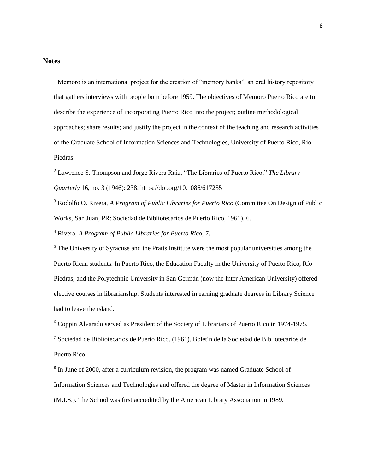$<sup>1</sup>$  Memoro is an international project for the creation of "memory banks", an oral history repository</sup> that gathers interviews with people born before 1959. The objectives of Memoro Puerto Rico are to describe the experience of incorporating Puerto Rico into the project; outline methodological approaches; share results; and justify the project in the context of the teaching and research activities of the Graduate School of Information Sciences and Technologies, University of Puerto Rico, Río Piedras.

<sup>2</sup> Lawrence S. Thompson and Jorge Rivera Ruiz, "The Libraries of Puerto Rico," *The Library Quarterly* 16, no. 3 (1946): 238. https://doi.org/10.1086/617255

<sup>3</sup> Rodolfo O. Rivera, *A Program of Public Libraries for Puerto Rico* (Committee On Design of Public Works, San Juan, PR: Sociedad de Bibliotecarios de Puerto Rico, 1961), 6.

<sup>4</sup> Rivera, *A Program of Public Libraries for Puerto Rico*, 7.

 $<sup>5</sup>$  The University of Syracuse and the Pratts Institute were the most popular universities among the</sup> Puerto Rican students. In Puerto Rico, the Education Faculty in the University of Puerto Rico, Río Piedras, and the Polytechnic University in San Germán (now the Inter American University) offered elective courses in librarianship. Students interested in earning graduate degrees in Library Science had to leave the island.

<sup>6</sup> Coppin Alvarado served as President of the Society of Librarians of Puerto Rico in 1974-1975.

 $7$  Sociedad de Bibliotecarios de Puerto Rico. (1961). Boletín de la Sociedad de Bibliotecarios de Puerto Rico.

<sup>8</sup> In June of 2000, after a curriculum revision, the program was named Graduate School of Information Sciences and Technologies and offered the degree of Master in Information Sciences (M.I.S.). The School was first accredited by the American Library Association in 1989.